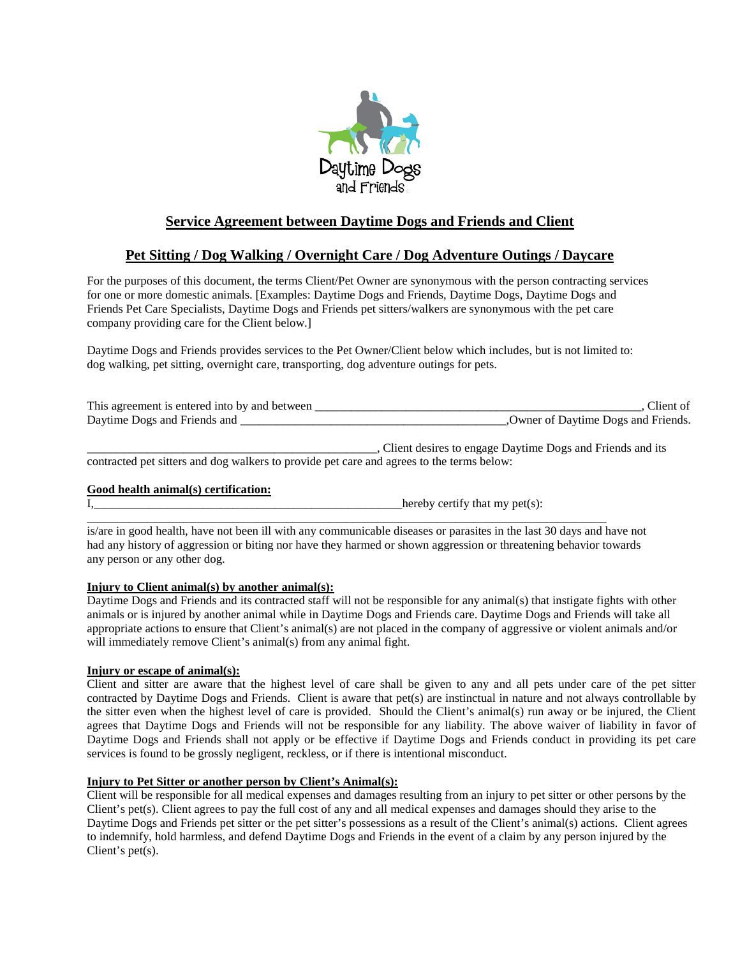

# **Service Agreement between Daytime Dogs and Friends and Client**

## **Pet Sitting / Dog Walking / Overnight Care / Dog Adventure Outings / Daycare**

For the purposes of this document, the terms Client/Pet Owner are synonymous with the person contracting services for one or more domestic animals. [Examples: Daytime Dogs and Friends, Daytime Dogs, Daytime Dogs and Friends Pet Care Specialists, Daytime Dogs and Friends pet sitters/walkers are synonymous with the pet care company providing care for the Client below.]

Daytime Dogs and Friends provides services to the Pet Owner/Client below which includes, but is not limited to: dog walking, pet sitting, overnight care, transporting, dog adventure outings for pets.

| This agreement is entered into by and between | Client of                          |
|-----------------------------------------------|------------------------------------|
| Daytime Dogs and Friends and                  | Owner of Davtime Dogs and Friends. |

\_\_\_\_\_\_\_\_\_\_\_\_\_\_\_\_\_\_\_\_\_\_\_\_\_\_\_\_\_\_\_\_\_\_\_\_\_\_\_\_\_\_\_\_\_\_\_\_, Client desires to engage Daytime Dogs and Friends and its contracted pet sitters and dog walkers to provide pet care and agrees to the terms below:

## **Good health animal(s) certification:**

 $I$ ,  $\blacksquare$ 

is/are in good health, have not been ill with any communicable diseases or parasites in the last 30 days and have not had any history of aggression or biting nor have they harmed or shown aggression or threatening behavior towards any person or any other dog.

\_\_\_\_\_\_\_\_\_\_\_\_\_\_\_\_\_\_\_\_\_\_\_\_\_\_\_\_\_\_\_\_\_\_\_\_\_\_\_\_\_\_\_\_\_\_\_\_\_\_\_\_\_\_\_\_\_\_\_\_\_\_\_\_\_\_\_\_\_\_\_\_\_\_\_\_\_\_\_\_\_\_\_\_\_\_

## **Injury to Client animal(s) by another animal(s):**

Daytime Dogs and Friends and its contracted staff will not be responsible for any animal(s) that instigate fights with other animals or is injured by another animal while in Daytime Dogs and Friends care. Daytime Dogs and Friends will take all appropriate actions to ensure that Client's animal(s) are not placed in the company of aggressive or violent animals and/or will immediately remove Client's animal(s) from any animal fight.

## **Injury or escape of animal(s):**

Client and sitter are aware that the highest level of care shall be given to any and all pets under care of the pet sitter contracted by Daytime Dogs and Friends. Client is aware that pet(s) are instinctual in nature and not always controllable by the sitter even when the highest level of care is provided. Should the Client's animal(s) run away or be injured, the Client agrees that Daytime Dogs and Friends will not be responsible for any liability. The above waiver of liability in favor of Daytime Dogs and Friends shall not apply or be effective if Daytime Dogs and Friends conduct in providing its pet care services is found to be grossly negligent, reckless, or if there is intentional misconduct.

## **Injury to Pet Sitter or another person by Client's Animal(s):**

Client will be responsible for all medical expenses and damages resulting from an injury to pet sitter or other persons by the Client's pet(s). Client agrees to pay the full cost of any and all medical expenses and damages should they arise to the Daytime Dogs and Friends pet sitter or the pet sitter's possessions as a result of the Client's animal(s) actions. Client agrees to indemnify, hold harmless, and defend Daytime Dogs and Friends in the event of a claim by any person injured by the Client's pet(s).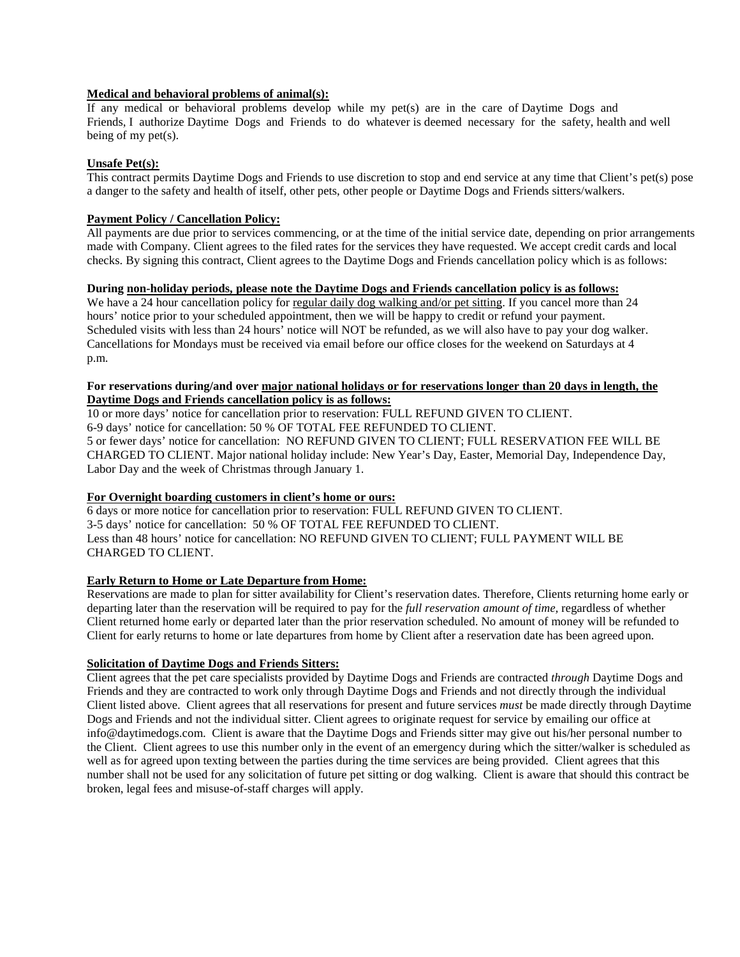## **Medical and behavioral problems of animal(s):**

If any medical or behavioral problems develop while my pet(s) are in the care of Daytime Dogs and Friends, I authorize Daytime Dogs and Friends to do whatever is deemed necessary for the safety, health and well being of my pet(s).

### **Unsafe Pet(s):**

This contract permits Daytime Dogs and Friends to use discretion to stop and end service at any time that Client's pet(s) pose a danger to the safety and health of itself, other pets, other people or Daytime Dogs and Friends sitters/walkers.

### **Payment Policy / Cancellation Policy:**

All payments are due prior to services commencing, or at the time of the initial service date, depending on prior arrangements made with Company. Client agrees to the filed rates for the services they have requested. We accept credit cards and local checks. By signing this contract, Client agrees to the Daytime Dogs and Friends cancellation policy which is as follows:

## **During non-holiday periods, please note the Daytime Dogs and Friends cancellation policy is as follows:**

We have a 24 hour cancellation policy for regular daily dog walking and/or pet sitting. If you cancel more than 24 hours' notice prior to your scheduled appointment, then we will be happy to credit or refund your payment. Scheduled visits with less than 24 hours' notice will NOT be refunded, as we will also have to pay your dog walker. Cancellations for Mondays must be received via email before our office closes for the weekend on Saturdays at 4 p.m.

## **For reservations during/and over major national holidays or for reservations longer than 20 days in length, the Daytime Dogs and Friends cancellation policy is as follows:**

10 or more days' notice for cancellation prior to reservation: FULL REFUND GIVEN TO CLIENT. 6-9 days' notice for cancellation: 50 % OF TOTAL FEE REFUNDED TO CLIENT. 5 or fewer days' notice for cancellation: NO REFUND GIVEN TO CLIENT; FULL RESERVATION FEE WILL BE CHARGED TO CLIENT. Major national holiday include: New Year's Day, Easter, Memorial Day, Independence Day, Labor Day and the week of Christmas through January 1.

#### **For Overnight boarding customers in client's home or ours:**

6 days or more notice for cancellation prior to reservation: FULL REFUND GIVEN TO CLIENT. 3-5 days' notice for cancellation: 50 % OF TOTAL FEE REFUNDED TO CLIENT. Less than 48 hours' notice for cancellation: NO REFUND GIVEN TO CLIENT; FULL PAYMENT WILL BE CHARGED TO CLIENT.

## **Early Return to Home or Late Departure from Home:**

Reservations are made to plan for sitter availability for Client's reservation dates. Therefore, Clients returning home early or departing later than the reservation will be required to pay for the *full reservation amount of time,* regardless of whether Client returned home early or departed later than the prior reservation scheduled. No amount of money will be refunded to Client for early returns to home or late departures from home by Client after a reservation date has been agreed upon.

#### **Solicitation of Daytime Dogs and Friends Sitters:**

Client agrees that the pet care specialists provided by Daytime Dogs and Friends are contracted *through* Daytime Dogs and Friends and they are contracted to work only through Daytime Dogs and Friends and not directly through the individual Client listed above. Client agrees that all reservations for present and future services *must* be made directly through Daytime Dogs and Friends and not the individual sitter. Client agrees to originate request for service by emailing our office at info@daytimedogs.com. Client is aware that the Daytime Dogs and Friends sitter may give out his/her personal number to the Client. Client agrees to use this number only in the event of an emergency during which the sitter/walker is scheduled as well as for agreed upon texting between the parties during the time services are being provided. Client agrees that this number shall not be used for any solicitation of future pet sitting or dog walking. Client is aware that should this contract be broken, legal fees and misuse-of-staff charges will apply.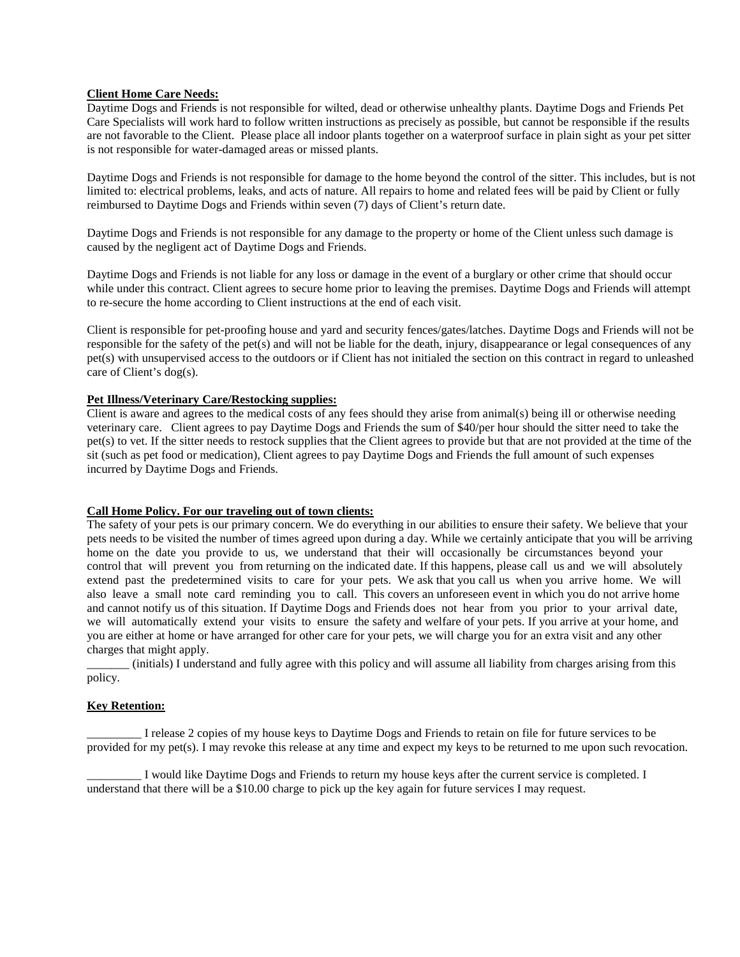#### **Client Home Care Needs:**

Daytime Dogs and Friends is not responsible for wilted, dead or otherwise unhealthy plants. Daytime Dogs and Friends Pet Care Specialists will work hard to follow written instructions as precisely as possible, but cannot be responsible if the results are not favorable to the Client. Please place all indoor plants together on a waterproof surface in plain sight as your pet sitter is not responsible for water-damaged areas or missed plants.

Daytime Dogs and Friends is not responsible for damage to the home beyond the control of the sitter. This includes, but is not limited to: electrical problems, leaks, and acts of nature. All repairs to home and related fees will be paid by Client or fully reimbursed to Daytime Dogs and Friends within seven (7) days of Client's return date.

Daytime Dogs and Friends is not responsible for any damage to the property or home of the Client unless such damage is caused by the negligent act of Daytime Dogs and Friends.

Daytime Dogs and Friends is not liable for any loss or damage in the event of a burglary or other crime that should occur while under this contract. Client agrees to secure home prior to leaving the premises. Daytime Dogs and Friends will attempt to re-secure the home according to Client instructions at the end of each visit.

Client is responsible for pet-proofing house and yard and security fences/gates/latches. Daytime Dogs and Friends will not be responsible for the safety of the pet(s) and will not be liable for the death, injury, disappearance or legal consequences of any pet(s) with unsupervised access to the outdoors or if Client has not initialed the section on this contract in regard to unleashed care of Client's dog(s).

## **Pet Illness/Veterinary Care/Restocking supplies:**

Client is aware and agrees to the medical costs of any fees should they arise from animal(s) being ill or otherwise needing veterinary care. Client agrees to pay Daytime Dogs and Friends the sum of \$40/per hour should the sitter need to take the pet(s) to vet. If the sitter needs to restock supplies that the Client agrees to provide but that are not provided at the time of the sit (such as pet food or medication), Client agrees to pay Daytime Dogs and Friends the full amount of such expenses incurred by Daytime Dogs and Friends.

#### **Call Home Policy. For our traveling out of town clients:**

The safety of your pets is our primary concern. We do everything in our abilities to ensure their safety. We believe that your pets needs to be visited the number of times agreed upon during a day. While we certainly anticipate that you will be arriving home on the date you provide to us, we understand that their will occasionally be circumstances beyond your control that will prevent you from returning on the indicated date. If this happens, please call us and we will absolutely extend past the predetermined visits to care for your pets. We ask that you call us when you arrive home. We will also leave a small note card reminding you to call. This covers an unforeseen event in which you do not arrive home and cannot notify us of this situation. If Daytime Dogs and Friends does not hear from you prior to your arrival date, we will automatically extend your visits to ensure the safety and welfare of your pets. If you arrive at your home, and you are either at home or have arranged for other care for your pets, we will charge you for an extra visit and any other charges that might apply.

\_\_\_\_\_\_\_ (initials) I understand and fully agree with this policy and will assume all liability from charges arising from this policy.

#### **Key Retention:**

I release 2 copies of my house keys to Daytime Dogs and Friends to retain on file for future services to be provided for my pet(s). I may revoke this release at any time and expect my keys to be returned to me upon such revocation.

I would like Daytime Dogs and Friends to return my house keys after the current service is completed. I understand that there will be a \$10.00 charge to pick up the key again for future services I may request.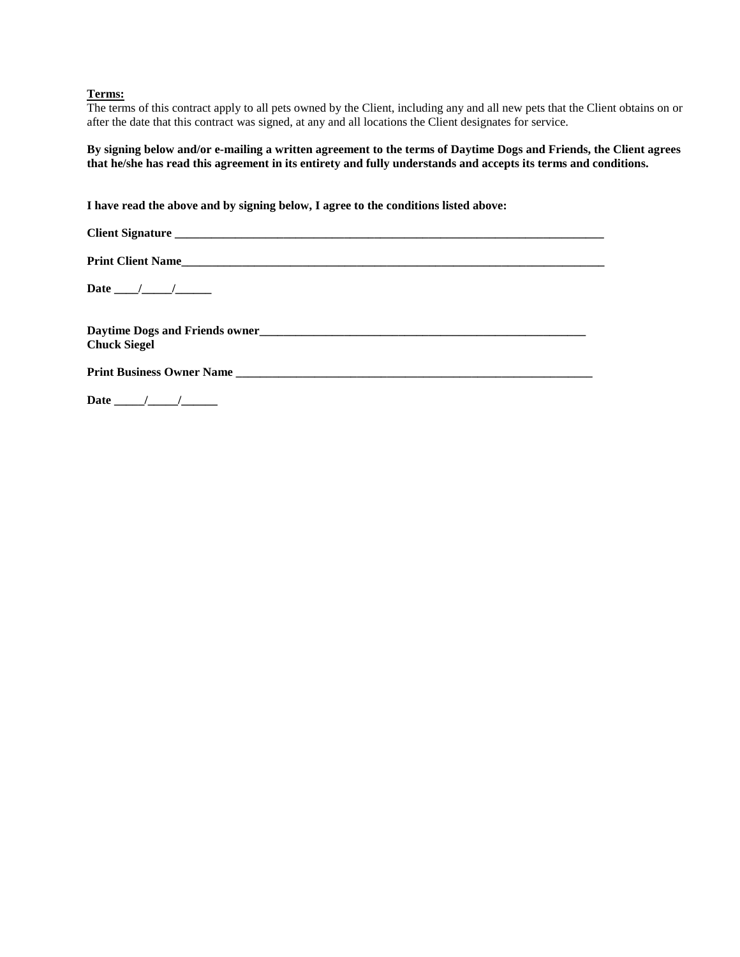## **Terms:**

The terms of this contract apply to all pets owned by the Client, including any and all new pets that the Client obtains on or after the date that this contract was signed, at any and all locations the Client designates for service.

**By signing below and/or e-mailing a written agreement to the terms of Daytime Dogs and Friends, the Client agrees that he/she has read this agreement in its entirety and fully understands and accepts its terms and conditions.** 

**I have read the above and by signing below, I agree to the conditions listed above:** 

| <b>Chuck Siegel</b> |  |
|---------------------|--|
|                     |  |
|                     |  |